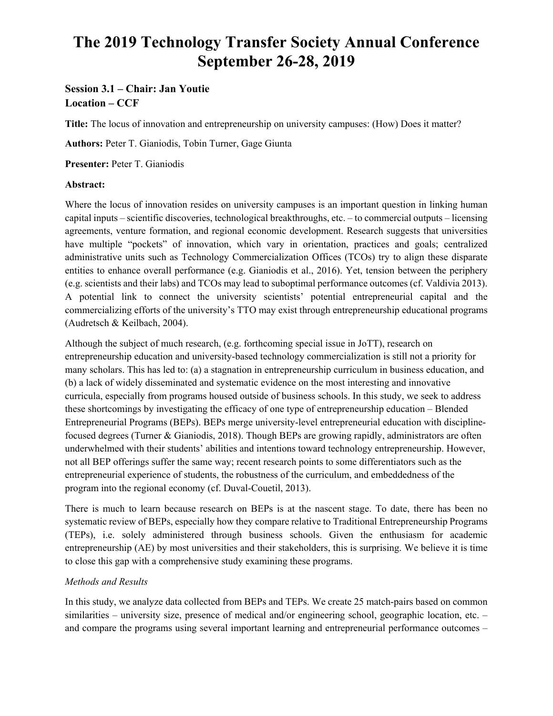# **The 2019 Technology Transfer Society Annual Conference September 26-28, 2019**

# **Session 3.1 – Chair: Jan Youtie Location – CCF**

**Title:** The locus of innovation and entrepreneurship on university campuses: (How) Does it matter?

**Authors:** Peter T. Gianiodis, Tobin Turner, Gage Giunta

**Presenter:** Peter T. Gianiodis

## **Abstract:**

Where the locus of innovation resides on university campuses is an important question in linking human capital inputs – scientific discoveries, technological breakthroughs, etc. – to commercial outputs – licensing agreements, venture formation, and regional economic development. Research suggests that universities have multiple "pockets" of innovation, which vary in orientation, practices and goals; centralized administrative units such as Technology Commercialization Offices (TCOs) try to align these disparate entities to enhance overall performance (e.g. Gianiodis et al., 2016). Yet, tension between the periphery (e.g. scientists and their labs) and TCOs may lead to suboptimal performance outcomes (cf. Valdivia 2013). A potential link to connect the university scientists' potential entrepreneurial capital and the commercializing efforts of the university's TTO may exist through entrepreneurship educational programs (Audretsch & Keilbach, 2004).

Although the subject of much research, (e.g. forthcoming special issue in JoTT), research on entrepreneurship education and university-based technology commercialization is still not a priority for many scholars. This has led to: (a) a stagnation in entrepreneurship curriculum in business education, and (b) a lack of widely disseminated and systematic evidence on the most interesting and innovative curricula, especially from programs housed outside of business schools. In this study, we seek to address these shortcomings by investigating the efficacy of one type of entrepreneurship education – Blended Entrepreneurial Programs (BEPs). BEPs merge university-level entrepreneurial education with disciplinefocused degrees (Turner & Gianiodis, 2018). Though BEPs are growing rapidly, administrators are often underwhelmed with their students' abilities and intentions toward technology entrepreneurship. However, not all BEP offerings suffer the same way; recent research points to some differentiators such as the entrepreneurial experience of students, the robustness of the curriculum, and embeddedness of the program into the regional economy (cf. Duval-Couetil, 2013).

There is much to learn because research on BEPs is at the nascent stage. To date, there has been no systematic review of BEPs, especially how they compare relative to Traditional Entrepreneurship Programs (TEPs), i.e. solely administered through business schools. Given the enthusiasm for academic entrepreneurship (AE) by most universities and their stakeholders, this is surprising. We believe it is time to close this gap with a comprehensive study examining these programs.

# *Methods and Results*

In this study, we analyze data collected from BEPs and TEPs. We create 25 match-pairs based on common similarities – university size, presence of medical and/or engineering school, geographic location, etc. – and compare the programs using several important learning and entrepreneurial performance outcomes –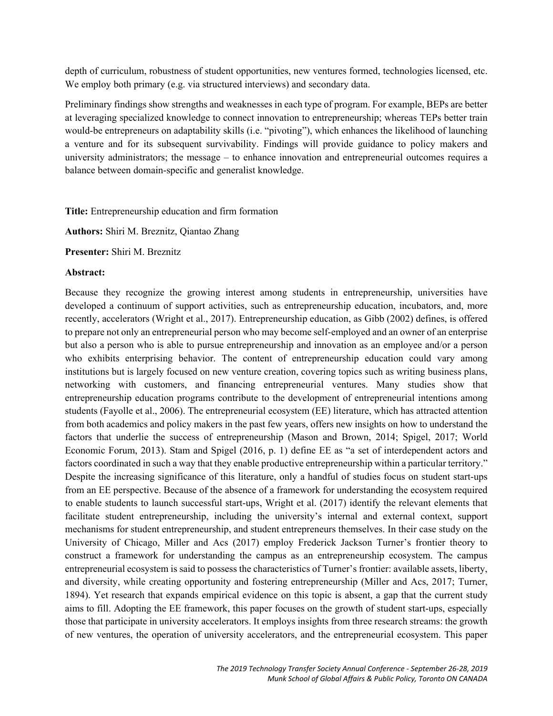depth of curriculum, robustness of student opportunities, new ventures formed, technologies licensed, etc. We employ both primary (e.g. via structured interviews) and secondary data.

Preliminary findings show strengths and weaknesses in each type of program. For example, BEPs are better at leveraging specialized knowledge to connect innovation to entrepreneurship; whereas TEPs better train would-be entrepreneurs on adaptability skills (i.e. "pivoting"), which enhances the likelihood of launching a venture and for its subsequent survivability. Findings will provide guidance to policy makers and university administrators; the message – to enhance innovation and entrepreneurial outcomes requires a balance between domain-specific and generalist knowledge.

**Title:** Entrepreneurship education and firm formation

**Authors:** Shiri M. Breznitz, Qiantao Zhang

**Presenter:** Shiri M. Breznitz

#### **Abstract:**

Because they recognize the growing interest among students in entrepreneurship, universities have developed a continuum of support activities, such as entrepreneurship education, incubators, and, more recently, accelerators (Wright et al., 2017). Entrepreneurship education, as Gibb (2002) defines, is offered to prepare not only an entrepreneurial person who may become self-employed and an owner of an enterprise but also a person who is able to pursue entrepreneurship and innovation as an employee and/or a person who exhibits enterprising behavior. The content of entrepreneurship education could vary among institutions but is largely focused on new venture creation, covering topics such as writing business plans, networking with customers, and financing entrepreneurial ventures. Many studies show that entrepreneurship education programs contribute to the development of entrepreneurial intentions among students (Fayolle et al., 2006). The entrepreneurial ecosystem (EE) literature, which has attracted attention from both academics and policy makers in the past few years, offers new insights on how to understand the factors that underlie the success of entrepreneurship (Mason and Brown, 2014; Spigel, 2017; World Economic Forum, 2013). Stam and Spigel (2016, p. 1) define EE as "a set of interdependent actors and factors coordinated in such a way that they enable productive entrepreneurship within a particular territory." Despite the increasing significance of this literature, only a handful of studies focus on student start-ups from an EE perspective. Because of the absence of a framework for understanding the ecosystem required to enable students to launch successful start-ups, Wright et al. (2017) identify the relevant elements that facilitate student entrepreneurship, including the university's internal and external context, support mechanisms for student entrepreneurship, and student entrepreneurs themselves. In their case study on the University of Chicago, Miller and Acs (2017) employ Frederick Jackson Turner's frontier theory to construct a framework for understanding the campus as an entrepreneurship ecosystem. The campus entrepreneurial ecosystem is said to possess the characteristics of Turner's frontier: available assets, liberty, and diversity, while creating opportunity and fostering entrepreneurship (Miller and Acs, 2017; Turner, 1894). Yet research that expands empirical evidence on this topic is absent, a gap that the current study aims to fill. Adopting the EE framework, this paper focuses on the growth of student start-ups, especially those that participate in university accelerators. It employs insights from three research streams: the growth of new ventures, the operation of university accelerators, and the entrepreneurial ecosystem. This paper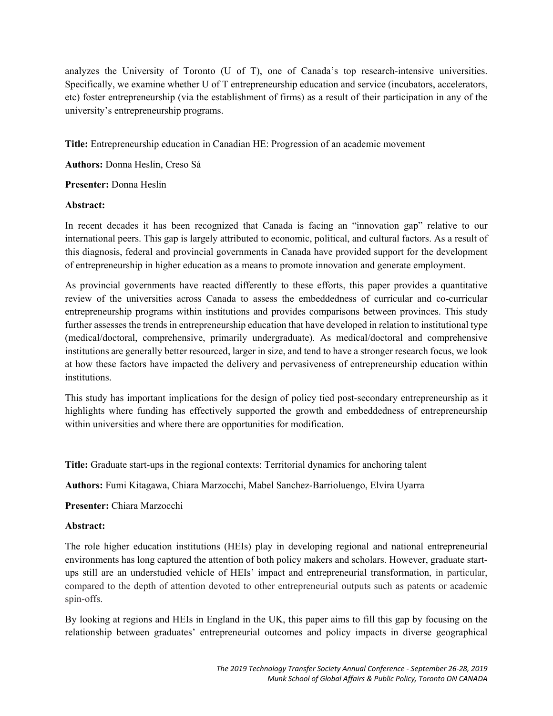analyzes the University of Toronto (U of T), one of Canada's top research-intensive universities. Specifically, we examine whether U of T entrepreneurship education and service (incubators, accelerators, etc) foster entrepreneurship (via the establishment of firms) as a result of their participation in any of the university's entrepreneurship programs.

**Title:** Entrepreneurship education in Canadian HE: Progression of an academic movement

**Authors:** Donna Heslin, Creso Sá

#### **Presenter:** Donna Heslin

## **Abstract:**

In recent decades it has been recognized that Canada is facing an "innovation gap" relative to our international peers. This gap is largely attributed to economic, political, and cultural factors. As a result of this diagnosis, federal and provincial governments in Canada have provided support for the development of entrepreneurship in higher education as a means to promote innovation and generate employment.

As provincial governments have reacted differently to these efforts, this paper provides a quantitative review of the universities across Canada to assess the embeddedness of curricular and co-curricular entrepreneurship programs within institutions and provides comparisons between provinces. This study further assesses the trends in entrepreneurship education that have developed in relation to institutional type (medical/doctoral, comprehensive, primarily undergraduate). As medical/doctoral and comprehensive institutions are generally better resourced, larger in size, and tend to have a stronger research focus, we look at how these factors have impacted the delivery and pervasiveness of entrepreneurship education within institutions.

This study has important implications for the design of policy tied post-secondary entrepreneurship as it highlights where funding has effectively supported the growth and embeddedness of entrepreneurship within universities and where there are opportunities for modification.

**Title:** Graduate start-ups in the regional contexts: Territorial dynamics for anchoring talent

**Authors:** Fumi Kitagawa, Chiara Marzocchi, Mabel Sanchez-Barrioluengo, Elvira Uyarra

**Presenter:** Chiara Marzocchi

#### **Abstract:**

The role higher education institutions (HEIs) play in developing regional and national entrepreneurial environments has long captured the attention of both policy makers and scholars. However, graduate startups still are an understudied vehicle of HEIs' impact and entrepreneurial transformation, in particular, compared to the depth of attention devoted to other entrepreneurial outputs such as patents or academic spin-offs.

By looking at regions and HEIs in England in the UK, this paper aims to fill this gap by focusing on the relationship between graduates' entrepreneurial outcomes and policy impacts in diverse geographical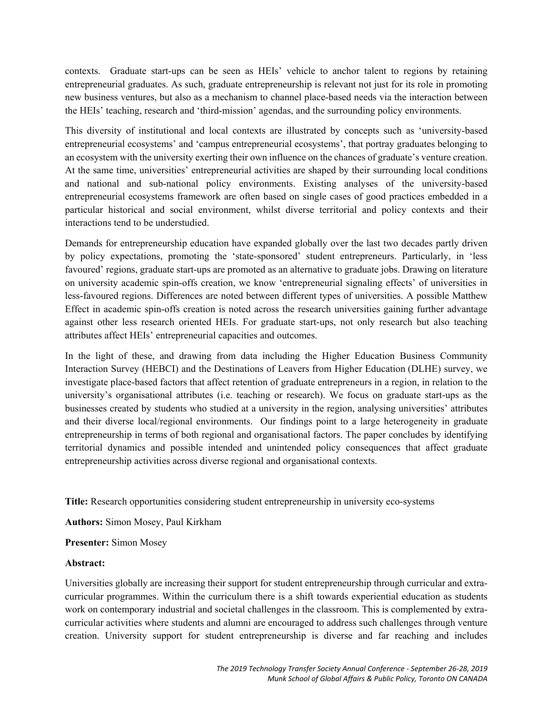contexts. Graduate start-ups can be seen as HEIs' vehicle to anchor talent to regions by retaining entrepreneurial graduates. As such, graduate entrepreneurship is relevant not just for its role in promoting new business ventures, but also as a mechanism to channel place-based needs via the interaction between the HEIs' teaching, research and 'third-mission' agendas, and the surrounding policy environments.

This diversity of institutional and local contexts are illustrated by concepts such as 'university-based entrepreneurial ecosystems' and 'campus entrepreneurial ecosystems', that portray graduates belonging to an ecosystem with the university exerting their own influence on the chances of graduate's venture creation. At the same time, universities' entrepreneurial activities are shaped by their surrounding local conditions and national and sub-national policy environments. Existing analyses of the university-based entrepreneurial ecosystems framework are often based on single cases of good practices embedded in a particular historical and social environment, whilst diverse territorial and policy contexts and their interactions tend to be understudied.

Demands for entrepreneurship education have expanded globally over the last two decades partly driven by policy expectations, promoting the 'state-sponsored' student entrepreneurs. Particularly, in 'less favoured' regions, graduate start-ups are promoted as an alternative to graduate jobs. Drawing on literature on university academic spin-offs creation, we know 'entrepreneurial signaling effects' of universities in less-favoured regions. Differences are noted between different types of universities. A possible Matthew Effect in academic spin-offs creation is noted across the research universities gaining further advantage against other less research oriented HEIs. For graduate start-ups, not only research but also teaching attributes affect HEIs' entrepreneurial capacities and outcomes.

In the light of these, and drawing from data including the Higher Education Business Community Interaction Survey (HEBCI) and the Destinations of Leavers from Higher Education (DLHE) survey, we investigate place-based factors that affect retention of graduate entrepreneurs in a region, in relation to the university's organisational attributes (i.e. teaching or research). We focus on graduate start-ups as the businesses created by students who studied at a university in the region, analysing universities' attributes and their diverse local/regional environments. Our findings point to a large heterogeneity in graduate entrepreneurship in terms of both regional and organisational factors. The paper concludes by identifying territorial dynamics and possible intended and unintended policy consequences that affect graduate entrepreneurship activities across diverse regional and organisational contexts.

**Title:** Research opportunities considering student entrepreneurship in university eco-systems

**Authors:** Simon Mosey, Paul Kirkham

**Presenter:** Simon Mosey

#### **Abstract:**

Universities globally are increasing their support for student entrepreneurship through curricular and extracurricular programmes. Within the curriculum there is a shift towards experiential education as students work on contemporary industrial and societal challenges in the classroom. This is complemented by extracurricular activities where students and alumni are encouraged to address such challenges through venture creation. University support for student entrepreneurship is diverse and far reaching and includes